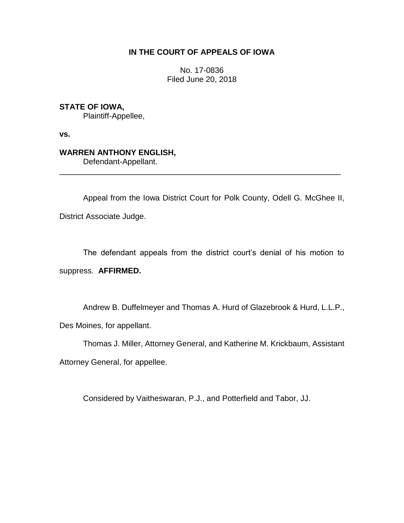# **IN THE COURT OF APPEALS OF IOWA**

No. 17-0836 Filed June 20, 2018

**STATE OF IOWA,** Plaintiff-Appellee,

**vs.**

# **WARREN ANTHONY ENGLISH,**

Defendant-Appellant.

Appeal from the Iowa District Court for Polk County, Odell G. McGhee II, District Associate Judge.

\_\_\_\_\_\_\_\_\_\_\_\_\_\_\_\_\_\_\_\_\_\_\_\_\_\_\_\_\_\_\_\_\_\_\_\_\_\_\_\_\_\_\_\_\_\_\_\_\_\_\_\_\_\_\_\_\_\_\_\_\_\_\_\_

The defendant appeals from the district court's denial of his motion to suppress. **AFFIRMED.**

Andrew B. Duffelmeyer and Thomas A. Hurd of Glazebrook & Hurd, L.L.P., Des Moines, for appellant.

Thomas J. Miller, Attorney General, and Katherine M. Krickbaum, Assistant Attorney General, for appellee.

Considered by Vaitheswaran, P.J., and Potterfield and Tabor, JJ.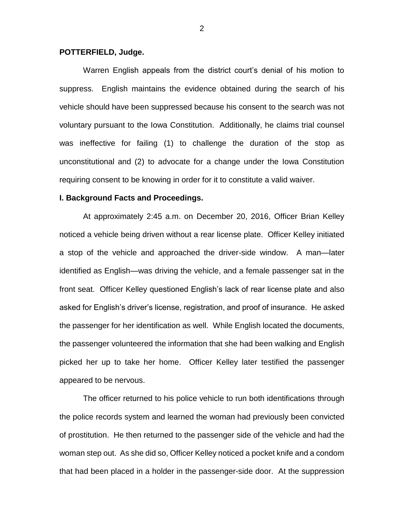# **POTTERFIELD, Judge.**

Warren English appeals from the district court's denial of his motion to suppress. English maintains the evidence obtained during the search of his vehicle should have been suppressed because his consent to the search was not voluntary pursuant to the Iowa Constitution. Additionally, he claims trial counsel was ineffective for failing (1) to challenge the duration of the stop as unconstitutional and (2) to advocate for a change under the Iowa Constitution requiring consent to be knowing in order for it to constitute a valid waiver.

# **I. Background Facts and Proceedings.**

At approximately 2:45 a.m. on December 20, 2016, Officer Brian Kelley noticed a vehicle being driven without a rear license plate. Officer Kelley initiated a stop of the vehicle and approached the driver-side window. A man—later identified as English—was driving the vehicle, and a female passenger sat in the front seat. Officer Kelley questioned English's lack of rear license plate and also asked for English's driver's license, registration, and proof of insurance. He asked the passenger for her identification as well. While English located the documents, the passenger volunteered the information that she had been walking and English picked her up to take her home. Officer Kelley later testified the passenger appeared to be nervous.

The officer returned to his police vehicle to run both identifications through the police records system and learned the woman had previously been convicted of prostitution. He then returned to the passenger side of the vehicle and had the woman step out. As she did so, Officer Kelley noticed a pocket knife and a condom that had been placed in a holder in the passenger-side door. At the suppression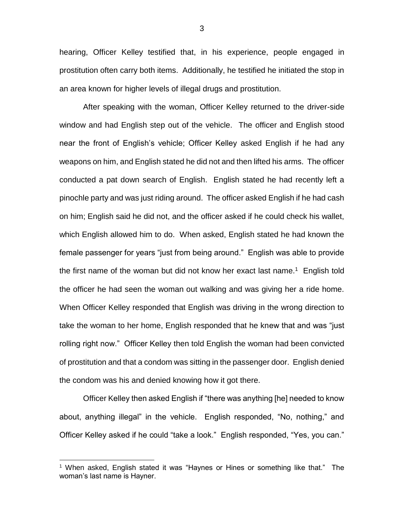hearing, Officer Kelley testified that, in his experience, people engaged in prostitution often carry both items. Additionally, he testified he initiated the stop in an area known for higher levels of illegal drugs and prostitution.

After speaking with the woman, Officer Kelley returned to the driver-side window and had English step out of the vehicle. The officer and English stood near the front of English's vehicle; Officer Kelley asked English if he had any weapons on him, and English stated he did not and then lifted his arms. The officer conducted a pat down search of English. English stated he had recently left a pinochle party and was just riding around. The officer asked English if he had cash on him; English said he did not, and the officer asked if he could check his wallet, which English allowed him to do. When asked, English stated he had known the female passenger for years "just from being around." English was able to provide the first name of the woman but did not know her exact last name.<sup>1</sup> English told the officer he had seen the woman out walking and was giving her a ride home. When Officer Kelley responded that English was driving in the wrong direction to take the woman to her home, English responded that he knew that and was "just rolling right now." Officer Kelley then told English the woman had been convicted of prostitution and that a condom was sitting in the passenger door. English denied the condom was his and denied knowing how it got there.

Officer Kelley then asked English if "there was anything [he] needed to know about, anything illegal" in the vehicle. English responded, "No, nothing," and Officer Kelley asked if he could "take a look." English responded, "Yes, you can."

 $\overline{a}$ 

<sup>&</sup>lt;sup>1</sup> When asked, English stated it was "Haynes or Hines or something like that." The woman's last name is Hayner.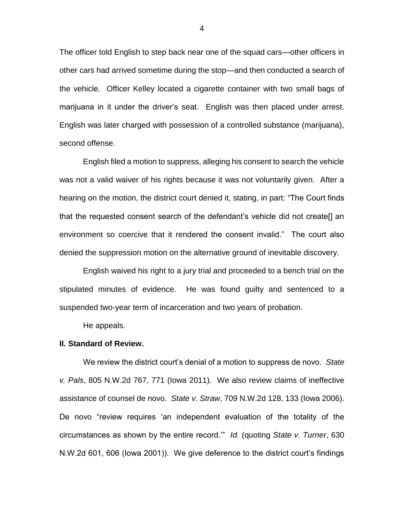The officer told English to step back near one of the squad cars—other officers in other cars had arrived sometime during the stop—and then conducted a search of the vehicle. Officer Kelley located a cigarette container with two small bags of marijuana in it under the driver's seat. English was then placed under arrest. English was later charged with possession of a controlled substance (marijuana), second offense.

English filed a motion to suppress, alleging his consent to search the vehicle was not a valid waiver of his rights because it was not voluntarily given. After a hearing on the motion, the district court denied it, stating, in part: "The Court finds that the requested consent search of the defendant's vehicle did not create[] an environment so coercive that it rendered the consent invalid." The court also denied the suppression motion on the alternative ground of inevitable discovery.

English waived his right to a jury trial and proceeded to a bench trial on the stipulated minutes of evidence. He was found guilty and sentenced to a suspended two-year term of incarceration and two years of probation.

He appeals.

#### **II. Standard of Review.**

We review the district court's denial of a motion to suppress de novo. *State v. Pals*, 805 N.W.2d 767, 771 (Iowa 2011). We also review claims of ineffective assistance of counsel de novo. *State v. Straw*, 709 N.W.2d 128, 133 (Iowa 2006). De novo "review requires 'an independent evaluation of the totality of the circumstances as shown by the entire record.'" *Id.* (quoting *State v. Turner*, 630 N.W.2d 601, 606 (Iowa 2001)). We give deference to the district court's findings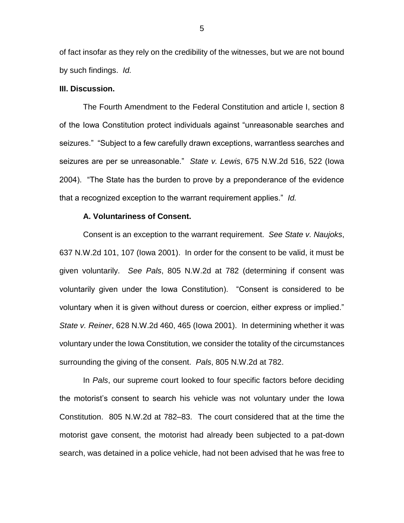of fact insofar as they rely on the credibility of the witnesses, but we are not bound by such findings. *Id.* 

# **III. Discussion.**

The Fourth Amendment to the Federal Constitution and article I, section 8 of the Iowa Constitution protect individuals against "unreasonable searches and seizures." "Subject to a few carefully drawn exceptions, warrantless searches and seizures are per se unreasonable." *State v. Lewis*, 675 N.W.2d 516, 522 (Iowa 2004). "The State has the burden to prove by a preponderance of the evidence that a recognized exception to the warrant requirement applies." *Id.* 

## **A. Voluntariness of Consent.**

Consent is an exception to the warrant requirement. *See State v. Naujoks*, 637 N.W.2d 101, 107 (Iowa 2001). In order for the consent to be valid, it must be given voluntarily. *See Pals*, 805 N.W.2d at 782 (determining if consent was voluntarily given under the Iowa Constitution). "Consent is considered to be voluntary when it is given without duress or coercion, either express or implied." *State v. Reiner*, 628 N.W.2d 460, 465 (Iowa 2001). In determining whether it was voluntary under the Iowa Constitution, we consider the totality of the circumstances surrounding the giving of the consent. *Pals*, 805 N.W.2d at 782.

In *Pals*, our supreme court looked to four specific factors before deciding the motorist's consent to search his vehicle was not voluntary under the Iowa Constitution. 805 N.W.2d at 782–83. The court considered that at the time the motorist gave consent, the motorist had already been subjected to a pat-down search, was detained in a police vehicle, had not been advised that he was free to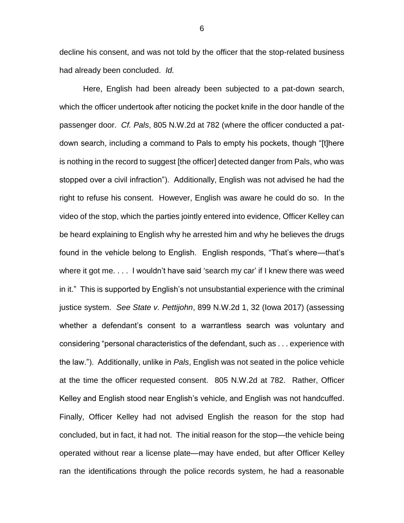decline his consent, and was not told by the officer that the stop-related business had already been concluded. *Id.* 

Here, English had been already been subjected to a pat-down search, which the officer undertook after noticing the pocket knife in the door handle of the passenger door. *Cf. Pals*, 805 N.W.2d at 782 (where the officer conducted a patdown search, including a command to Pals to empty his pockets, though "[t]here is nothing in the record to suggest [the officer] detected danger from Pals, who was stopped over a civil infraction"). Additionally, English was not advised he had the right to refuse his consent. However, English was aware he could do so. In the video of the stop, which the parties jointly entered into evidence, Officer Kelley can be heard explaining to English why he arrested him and why he believes the drugs found in the vehicle belong to English. English responds, "That's where—that's where it got me. . . . I wouldn't have said 'search my car' if I knew there was weed in it." This is supported by English's not unsubstantial experience with the criminal justice system. *See State v. Pettijohn*, 899 N.W.2d 1, 32 (Iowa 2017) (assessing whether a defendant's consent to a warrantless search was voluntary and considering "personal characteristics of the defendant, such as . . . experience with the law."). Additionally, unlike in *Pals*, English was not seated in the police vehicle at the time the officer requested consent. 805 N.W.2d at 782. Rather, Officer Kelley and English stood near English's vehicle, and English was not handcuffed. Finally, Officer Kelley had not advised English the reason for the stop had concluded, but in fact, it had not. The initial reason for the stop—the vehicle being operated without rear a license plate—may have ended, but after Officer Kelley ran the identifications through the police records system, he had a reasonable

6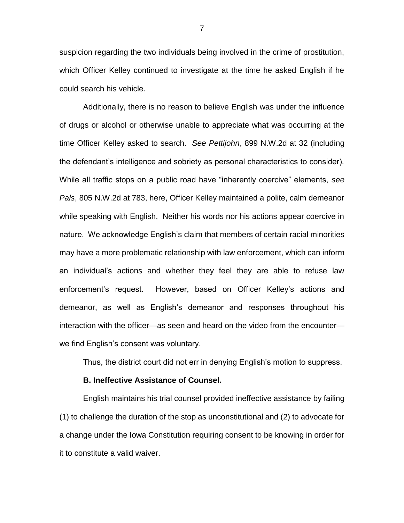suspicion regarding the two individuals being involved in the crime of prostitution, which Officer Kelley continued to investigate at the time he asked English if he could search his vehicle.

Additionally, there is no reason to believe English was under the influence of drugs or alcohol or otherwise unable to appreciate what was occurring at the time Officer Kelley asked to search. *See Pettijohn*, 899 N.W.2d at 32 (including the defendant's intelligence and sobriety as personal characteristics to consider). While all traffic stops on a public road have "inherently coercive" elements, *see Pals*, 805 N.W.2d at 783, here, Officer Kelley maintained a polite, calm demeanor while speaking with English. Neither his words nor his actions appear coercive in nature. We acknowledge English's claim that members of certain racial minorities may have a more problematic relationship with law enforcement, which can inform an individual's actions and whether they feel they are able to refuse law enforcement's request. However, based on Officer Kelley's actions and demeanor, as well as English's demeanor and responses throughout his interaction with the officer—as seen and heard on the video from the encounter we find English's consent was voluntary.

Thus, the district court did not err in denying English's motion to suppress.

## **B. Ineffective Assistance of Counsel.**

English maintains his trial counsel provided ineffective assistance by failing (1) to challenge the duration of the stop as unconstitutional and (2) to advocate for a change under the Iowa Constitution requiring consent to be knowing in order for it to constitute a valid waiver.

7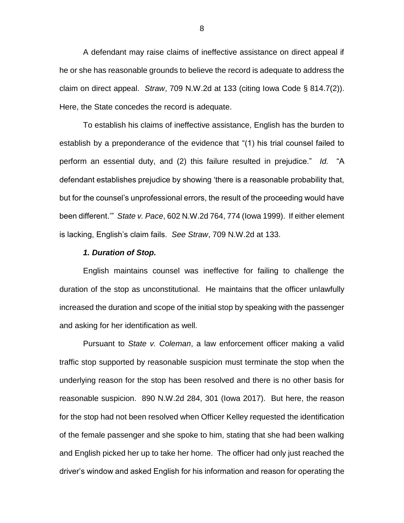A defendant may raise claims of ineffective assistance on direct appeal if he or she has reasonable grounds to believe the record is adequate to address the claim on direct appeal. *Straw*, 709 N.W.2d at 133 (citing Iowa Code § 814.7(2)). Here, the State concedes the record is adequate.

To establish his claims of ineffective assistance, English has the burden to establish by a preponderance of the evidence that "(1) his trial counsel failed to perform an essential duty, and (2) this failure resulted in prejudice." *Id.* "A defendant establishes prejudice by showing 'there is a reasonable probability that, but for the counsel's unprofessional errors, the result of the proceeding would have been different.'" *State v. Pace*, 602 N.W.2d 764, 774 (Iowa 1999). If either element is lacking, English's claim fails. *See Straw*, 709 N.W.2d at 133.

#### *1. Duration of Stop.*

English maintains counsel was ineffective for failing to challenge the duration of the stop as unconstitutional. He maintains that the officer unlawfully increased the duration and scope of the initial stop by speaking with the passenger and asking for her identification as well.

Pursuant to *State v. Coleman*, a law enforcement officer making a valid traffic stop supported by reasonable suspicion must terminate the stop when the underlying reason for the stop has been resolved and there is no other basis for reasonable suspicion. 890 N.W.2d 284, 301 (Iowa 2017). But here, the reason for the stop had not been resolved when Officer Kelley requested the identification of the female passenger and she spoke to him, stating that she had been walking and English picked her up to take her home. The officer had only just reached the driver's window and asked English for his information and reason for operating the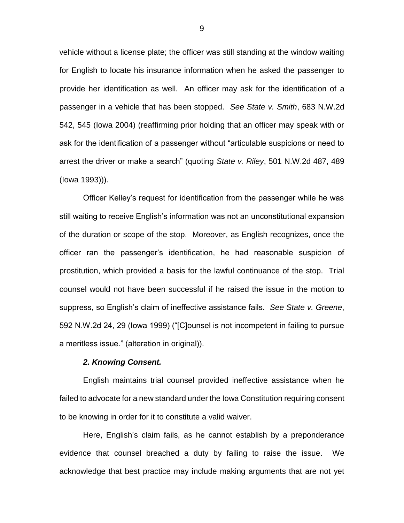vehicle without a license plate; the officer was still standing at the window waiting for English to locate his insurance information when he asked the passenger to provide her identification as well. An officer may ask for the identification of a passenger in a vehicle that has been stopped. *See State v. Smith*, 683 N.W.2d 542, 545 (Iowa 2004) (reaffirming prior holding that an officer may speak with or ask for the identification of a passenger without "articulable suspicions or need to arrest the driver or make a search" (quoting *State v. Riley*, 501 N.W.2d 487, 489 (Iowa 1993))).

Officer Kelley's request for identification from the passenger while he was still waiting to receive English's information was not an unconstitutional expansion of the duration or scope of the stop. Moreover, as English recognizes, once the officer ran the passenger's identification, he had reasonable suspicion of prostitution, which provided a basis for the lawful continuance of the stop. Trial counsel would not have been successful if he raised the issue in the motion to suppress, so English's claim of ineffective assistance fails. *See State v. Greene*, 592 N.W.2d 24, 29 (Iowa 1999) ("[C]ounsel is not incompetent in failing to pursue a meritless issue." (alteration in original)).

### *2. Knowing Consent.*

English maintains trial counsel provided ineffective assistance when he failed to advocate for a new standard under the Iowa Constitution requiring consent to be knowing in order for it to constitute a valid waiver.

Here, English's claim fails, as he cannot establish by a preponderance evidence that counsel breached a duty by failing to raise the issue. We acknowledge that best practice may include making arguments that are not yet

9